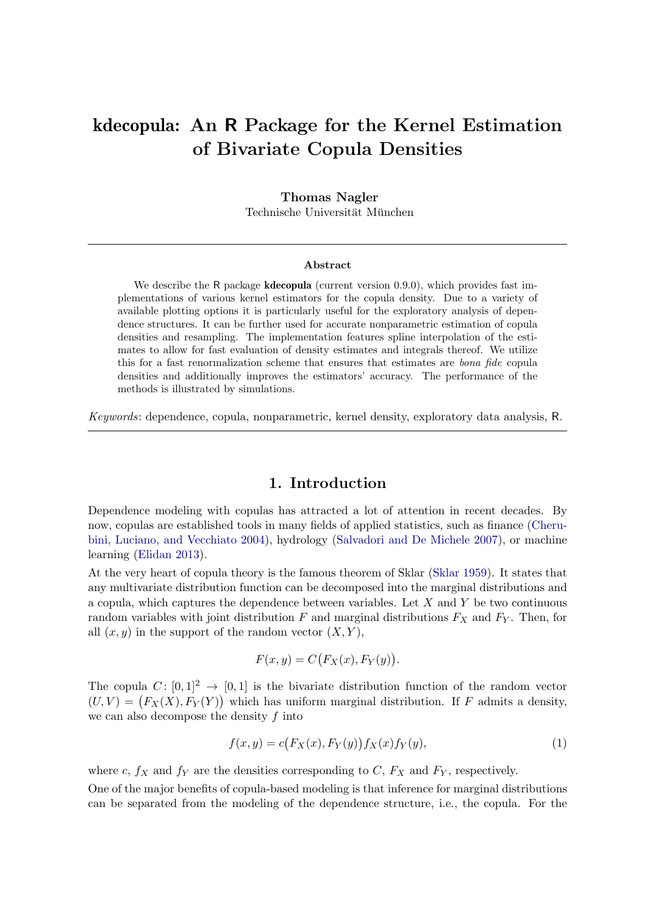# <span id="page-0-0"></span>kdecopula: An R Package for the Kernel Estimation of Bivariate Copula Densities

## Thomas Nagler

Technische Universität München

#### Abstract

We describe the R package **kdecopula** (current version 0.9.0), which provides fast implementations of various kernel estimators for the copula density. Due to a variety of available plotting options it is particularly useful for the exploratory analysis of dependence structures. It can be further used for accurate nonparametric estimation of copula densities and resampling. The implementation features spline interpolation of the estimates to allow for fast evaluation of density estimates and integrals thereof. We utilize this for a fast renormalization scheme that ensures that estimates are bona fide copula densities and additionally improves the estimators' accuracy. The performance of the methods is illustrated by simulations.

Keywords: dependence, copula, nonparametric, kernel density, exploratory data analysis, R.

## 1. Introduction

Dependence modeling with copulas has attracted a lot of attention in recent decades. By now, copulas are established tools in many fields of applied statistics, such as finance [\(Cheru](#page-18-0)[bini, Luciano, and Vecchiato 2004\)](#page-18-0), hydrology [\(Salvadori and De Michele 2007\)](#page-20-0), or machine learning [\(Elidan 2013\)](#page-18-1).

At the very heart of copula theory is the famous theorem of Sklar [\(Sklar 1959\)](#page-20-1). It states that any multivariate distribution function can be decomposed into the marginal distributions and a copula, which captures the dependence between variables. Let  $X$  and  $Y$  be two continuous random variables with joint distribution  $F$  and marginal distributions  $F_X$  and  $F_Y$ . Then, for all  $(x, y)$  in the support of the random vector  $(X, Y)$ ,

<span id="page-0-1"></span>
$$
F(x, y) = C(F_X(x), F_Y(y)).
$$

The copula  $C: [0, 1]^2 \rightarrow [0, 1]$  is the bivariate distribution function of the random vector  $(U, V) = (F_X(X), F_Y(Y))$  which has uniform marginal distribution. If F admits a density, we can also decompose the density  $f$  into

$$
f(x,y) = c(F_X(x), F_Y(y)) f_X(x) f_Y(y),
$$
\n(1)

where c,  $f_X$  and  $f_Y$  are the densities corresponding to C,  $F_X$  and  $F_Y$ , respectively.

One of the major benefits of copula-based modeling is that inference for marginal distributions can be separated from the modeling of the dependence structure, i.e., the copula. For the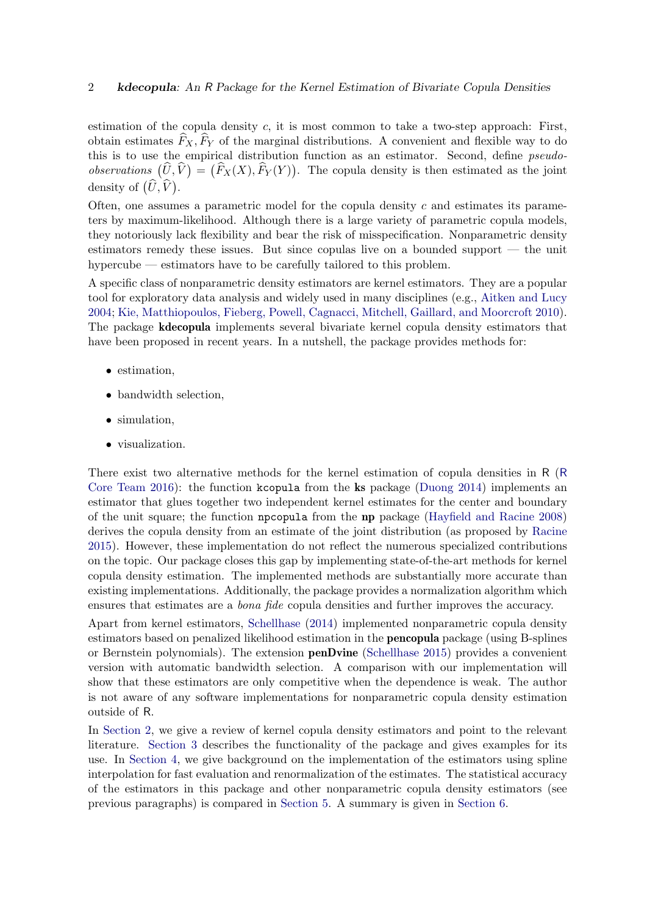estimation of the copula density  $c$ , it is most common to take a two-step approach: First, obtain estimates  $\hat{F}_X, \hat{F}_Y$  of the marginal distributions. A convenient and flexible way to do this is to use the empirical distribution function as an estimator. Second, define *pseudo*observations  $(\widehat{U}, \widehat{V}) = (\widehat{F}_X(X), \widehat{F}_Y(Y)).$  The copula density is then estimated as the joint density of  $(\widehat{U}, \widehat{V})$ .

Often, one assumes a parametric model for the copula density  $c$  and estimates its parameters by maximum-likelihood. Although there is a large variety of parametric copula models, they notoriously lack flexibility and bear the risk of misspecification. Nonparametric density estimators remedy these issues. But since copulas live on a bounded support — the unit hypercube — estimators have to be carefully tailored to this problem.

A specific class of nonparametric density estimators are kernel estimators. They are a popular tool for exploratory data analysis and widely used in many disciplines (e.g., [Aitken and Lucy](#page-18-2) [2004;](#page-18-2) [Kie, Matthiopoulos, Fieberg, Powell, Cagnacci, Mitchell, Gaillard,](#page-19-0) and Moorcroft [2010\)](#page-19-0). The package kdecopula implements several bivariate kernel copula density estimators that have been proposed in recent years. In a nutshell, the package provides methods for:

- estimation,
- bandwidth selection,
- simulation,
- visualization.

There exist two alternative methods for the kernel estimation of copula densities in R ([R](#page-20-2) [Core Team 2016\)](#page-20-2): the function kcopula from the ks package [\(Duong 2014\)](#page-18-3) implements an estimator that glues together two independent kernel estimates for the center and boundary of the unit square; the function npcopula from the np package [\(Hayfield and Racine 2008\)](#page-19-1) derives the copula density from an estimate of the joint distribution (as proposed by [Racine](#page-20-3) [2015\)](#page-20-3). However, these implementation do not reflect the numerous specialized contributions on the topic. Our package closes this gap by implementing state-of-the-art methods for kernel copula density estimation. The implemented methods are substantially more accurate than existing implementations. Additionally, the package provides a normalization algorithm which ensures that estimates are a bona fide copula densities and further improves the accuracy.

Apart from kernel estimators, [Schellhase](#page-20-4) [\(2014\)](#page-20-4) implemented nonparametric copula density estimators based on penalized likelihood estimation in the pencopula package (using B-splines or Bernstein polynomials). The extension penDvine [\(Schellhase 2015\)](#page-20-5) provides a convenient version with automatic bandwidth selection. A comparison with our implementation will show that these estimators are only competitive when the dependence is weak. The author is not aware of any software implementations for nonparametric copula density estimation outside of R.

In [Section 2,](#page-2-0) we give a review of kernel copula density estimators and point to the relevant literature. [Section 3](#page-4-0) describes the functionality of the package and gives examples for its use. In [Section 4,](#page-10-0) we give background on the implementation of the estimators using spline interpolation for fast evaluation and renormalization of the estimates. The statistical accuracy of the estimators in this package and other nonparametric copula density estimators (see previous paragraphs) is compared in [Section 5.](#page-14-0) A summary is given in [Section 6.](#page-17-0)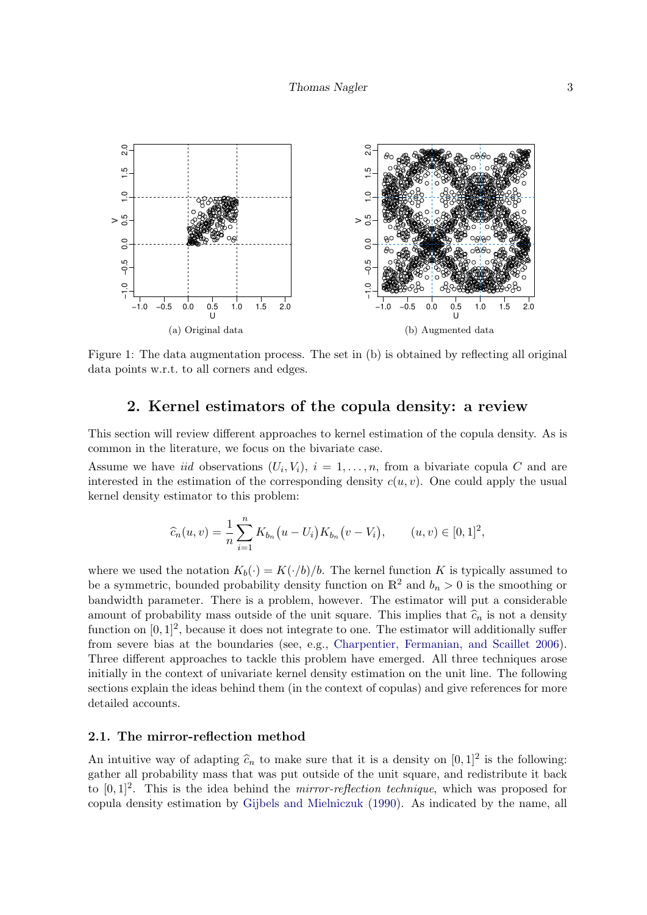<span id="page-2-1"></span>

Figure 1: The data augmentation process. The set in (b) is obtained by reflecting all original data points w.r.t. to all corners and edges.

# 2. Kernel estimators of the copula density: a review

<span id="page-2-0"></span>This section will review different approaches to kernel estimation of the copula density. As is common in the literature, we focus on the bivariate case.

Assume we have *iid* observations  $(U_i, V_i)$ ,  $i = 1, \ldots, n$ , from a bivariate copula C and are interested in the estimation of the corresponding density  $c(u, v)$ . One could apply the usual kernel density estimator to this problem:

$$
\widehat{c}_n(u,v) = \frac{1}{n} \sum_{i=1}^n K_{b_n}(u - U_i) K_{b_n}(v - V_i), \qquad (u,v) \in [0,1]^2,
$$

where we used the notation  $K_b(\cdot) = K(\cdot/b)/b$ . The kernel function K is typically assumed to be a symmetric, bounded probability density function on  $\mathbb{R}^2$  and  $b_n > 0$  is the smoothing or bandwidth parameter. There is a problem, however. The estimator will put a considerable amount of probability mass outside of the unit square. This implies that  $\hat{c}_n$  is not a density function on  $[0,1]^2$ , because it does not integrate to one. The estimator will additionally suffer from severe bias at the boundaries (see, e.g., [Charpentier, Fermanian, and Scaillet 2006\)](#page-18-4). Three different approaches to tackle this problem have emerged. All three techniques arose initially in the context of univariate kernel density estimation on the unit line. The following sections explain the ideas behind them (in the context of copulas) and give references for more detailed accounts.

### 2.1. The mirror-reflection method

An intuitive way of adapting  $\hat{c}_n$  to make sure that it is a density on  $[0, 1]^2$  is the following: gather all probability mass that was put outside of the unit square, and redistribute it back to  $[0, 1]^2$ . This is the idea behind the *mirror-reflection technique*, which was proposed for copula density estimation by [Gijbels and Mielniczuk](#page-19-2) [\(1990\)](#page-19-2). As indicated by the name, all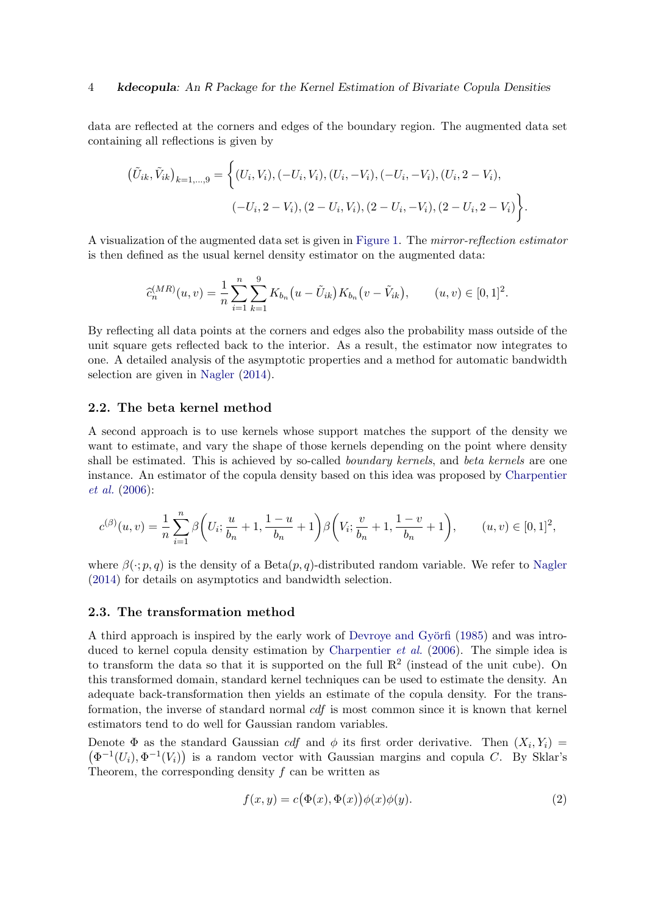data are reflected at the corners and edges of the boundary region. The augmented data set containing all reflections is given by

$$
\left(\tilde{U}_{ik}, \tilde{V}_{ik}\right)_{k=1,\ldots,9} = \left\{ (U_i, V_i), (-U_i, V_i), (U_i, -V_i), (-U_i, -V_i), (U_i, 2 - V_i), -U_i, 2 - V_i), (2 - U_i, V_i), (2 - U_i, -V_i), (2 - U_i, 2 - V_i) \right\}.
$$

A visualization of the augmented data set is given in [Figure 1.](#page-2-1) The mirror-reflection estimator is then defined as the usual kernel density estimator on the augmented data:

$$
\widehat{c}_n^{(MR)}(u,v) = \frac{1}{n} \sum_{i=1}^n \sum_{k=1}^9 K_{b_n}(u - \tilde{U}_{ik}) K_{b_n}(v - \tilde{V}_{ik}), \qquad (u,v) \in [0,1]^2.
$$

By reflecting all data points at the corners and edges also the probability mass outside of the unit square gets reflected back to the interior. As a result, the estimator now integrates to one. A detailed analysis of the asymptotic properties and a method for automatic bandwidth selection are given in [Nagler](#page-19-3) [\(2014\)](#page-19-3).

### 2.2. The beta kernel method

A second approach is to use kernels whose support matches the support of the density we want to estimate, and vary the shape of those kernels depending on the point where density shall be estimated. This is achieved by so-called *boundary kernels*, and *beta kernels* are one instance. An estimator of the copula density based on this idea was proposed by [Charpentier](#page-18-4) [et al.](#page-18-4) [\(2006\)](#page-18-4):

$$
c^{(\beta)}(u,v) = \frac{1}{n} \sum_{i=1}^{n} \beta \left( U_i; \frac{u}{b_n} + 1, \frac{1-u}{b_n} + 1 \right) \beta \left( V_i; \frac{v}{b_n} + 1, \frac{1-v}{b_n} + 1 \right), \qquad (u,v) \in [0,1]^2,
$$

where  $\beta(\cdot; p, q)$  is the density of a Beta $(p, q)$ -distributed random variable. We refer to [Nagler](#page-19-3) [\(2014\)](#page-19-3) for details on asymptotics and bandwidth selection.

## 2.3. The transformation method

A third approach is inspired by the early work of Devroye and Györfi [\(1985\)](#page-18-5) and was intro-duced to kernel copula density estimation by [Charpentier](#page-18-4) *et al.* [\(2006\)](#page-18-4). The simple idea is to transform the data so that it is supported on the full  $\mathbb{R}^2$  (instead of the unit cube). On this transformed domain, standard kernel techniques can be used to estimate the density. An adequate back-transformation then yields an estimate of the copula density. For the transformation, the inverse of standard normal cdf is most common since it is known that kernel estimators tend to do well for Gaussian random variables.

Denote  $\Phi$  as the standard Gaussian *cdf* and  $\phi$  its first order derivative. Then  $(X_i, Y_i)$  $(\Phi^{-1}(U_i), \Phi^{-1}(V_i))$  is a random vector with Gaussian margins and copula C. By Sklar's Theorem, the corresponding density  $f$  can be written as

<span id="page-3-0"></span>
$$
f(x,y) = c(\Phi(x), \Phi(x))\phi(x)\phi(y).
$$
 (2)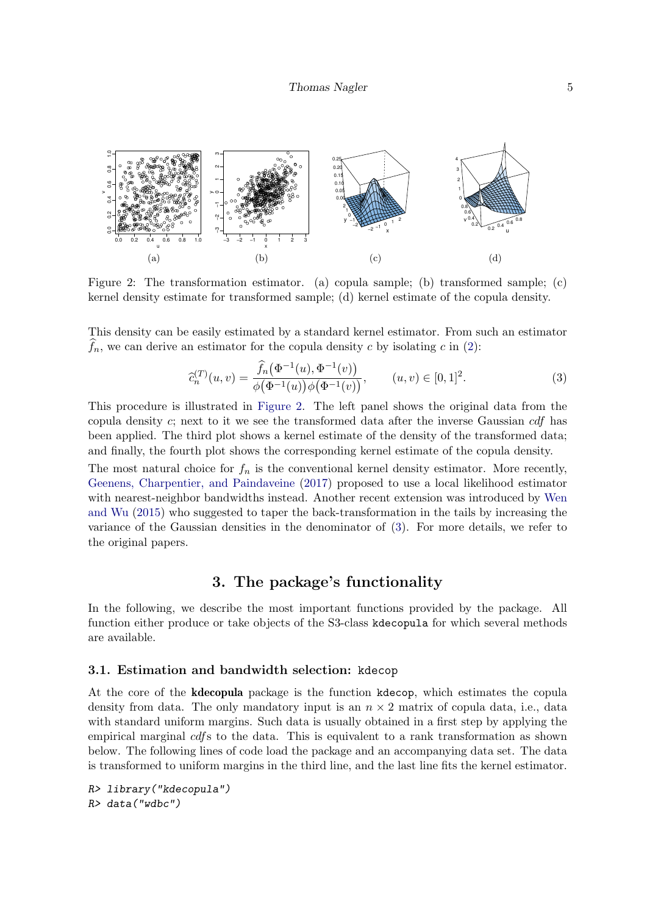<span id="page-4-1"></span>

Figure 2: The transformation estimator. (a) copula sample; (b) transformed sample; (c) kernel density estimate for transformed sample; (d) kernel estimate of the copula density.

This density can be easily estimated by a standard kernel estimator. From such an estimator  $f_n$ , we can derive an estimator for the copula density c by isolating c in [\(2\)](#page-3-0):

<span id="page-4-2"></span>
$$
\widehat{c}_n^{(T)}(u,v) = \frac{\widehat{f}_n(\Phi^{-1}(u), \Phi^{-1}(v))}{\phi(\Phi^{-1}(u))\phi(\Phi^{-1}(v))}, \qquad (u,v) \in [0,1]^2.
$$
\n(3)

This procedure is illustrated in [Figure 2.](#page-4-1) The left panel shows the original data from the copula density c; next to it we see the transformed data after the inverse Gaussian cdf has been applied. The third plot shows a kernel estimate of the density of the transformed data; and finally, the fourth plot shows the corresponding kernel estimate of the copula density.

The most natural choice for  $f_n$  is the conventional kernel density estimator. More recently, [Geenens, Charpentier, and Paindaveine](#page-19-4) [\(2017\)](#page-19-4) proposed to use a local likelihood estimator with nearest-neighbor bandwidths instead. Another recent extension was introduced by [Wen](#page-20-6) [and Wu](#page-20-6) [\(2015\)](#page-20-6) who suggested to taper the back-transformation in the tails by increasing the variance of the Gaussian densities in the denominator of [\(3\)](#page-4-2). For more details, we refer to the original papers.

## 3. The package's functionality

<span id="page-4-0"></span>In the following, we describe the most important functions provided by the package. All function either produce or take objects of the S3-class kdecopula for which several methods are available.

## 3.1. Estimation and bandwidth selection: kdecop

At the core of the kdecopula package is the function kdecop, which estimates the copula density from data. The only mandatory input is an  $n \times 2$  matrix of copula data, i.e., data with standard uniform margins. Such data is usually obtained in a first step by applying the empirical marginal cdfs to the data. This is equivalent to a rank transformation as shown below. The following lines of code load the package and an accompanying data set. The data is transformed to uniform margins in the third line, and the last line fits the kernel estimator.

R> library("kdecopula") R> data("wdbc")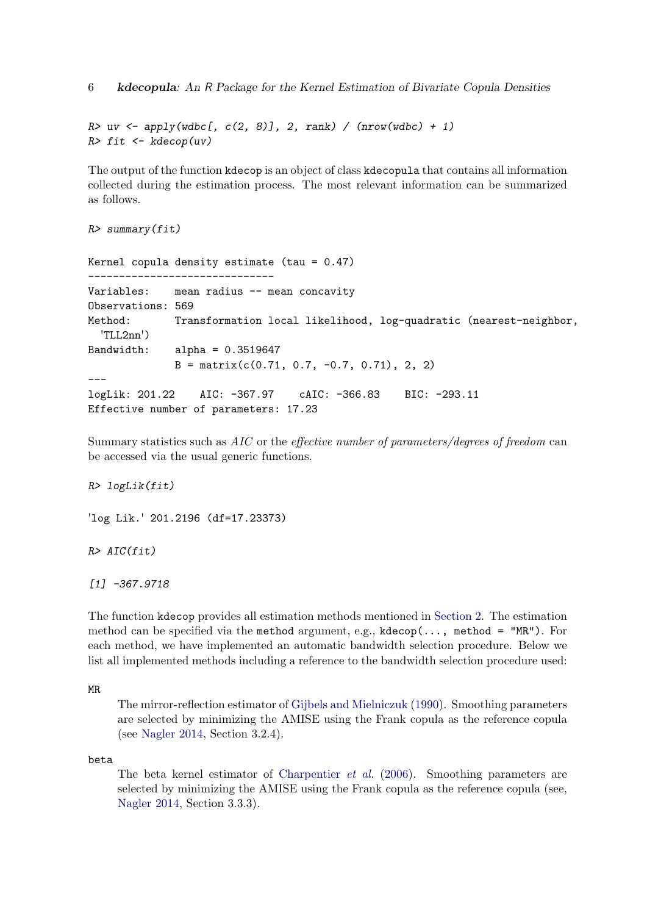6 kdecopula: An R Package for the Kernel Estimation of Bivariate Copula Densities

```
R uv \leftarrow apply(wdbc[, c(2, 8)], 2, rank) / (nrow(wdbc) + 1)
R> fit <- kdecop(uv)
```
The output of the function kdecop is an object of class kdecopula that contains all information collected during the estimation process. The most relevant information can be summarized as follows.

 $R$ > summary(fit)

Kernel copula density estimate (tau = 0.47) ------------------------------ Variables: mean radius -- mean concavity Observations: 569 Method: Transformation local likelihood, log-quadratic (nearest-neighbor, 'TLL2nn') Bandwidth: alpha = 0.3519647  $B = matrix(c(0.71, 0.7, -0.7, 0.71), 2, 2)$ -- logLik: 201.22 AIC: -367.97 cAIC: -366.83 BIC: -293.11 Effective number of parameters: 17.23

Summary statistics such as AIC or the effective number of parameters/degrees of freedom can be accessed via the usual generic functions.

## R> logLik(fit)

'log Lik.' 201.2196 (df=17.23373)

 $R > AIC(fit)$ 

[1] -367.9718

The function kdecop provides all estimation methods mentioned in [Section 2.](#page-2-0) The estimation method can be specified via the method argument, e.g.,  $kdecop(..., method = "MR").$  For each method, we have implemented an automatic bandwidth selection procedure. Below we list all implemented methods including a reference to the bandwidth selection procedure used:

## MR

The mirror-reflection estimator of [Gijbels and Mielniczuk](#page-19-2) [\(1990\)](#page-19-2). Smoothing parameters are selected by minimizing the AMISE using the Frank copula as the reference copula (see [Nagler 2014,](#page-19-3) Section 3.2.4).

## beta

The beta kernel estimator of [Charpentier](#page-18-4) et al. [\(2006\)](#page-18-4). Smoothing parameters are selected by minimizing the AMISE using the Frank copula as the reference copula (see, [Nagler 2014,](#page-19-3) Section 3.3.3).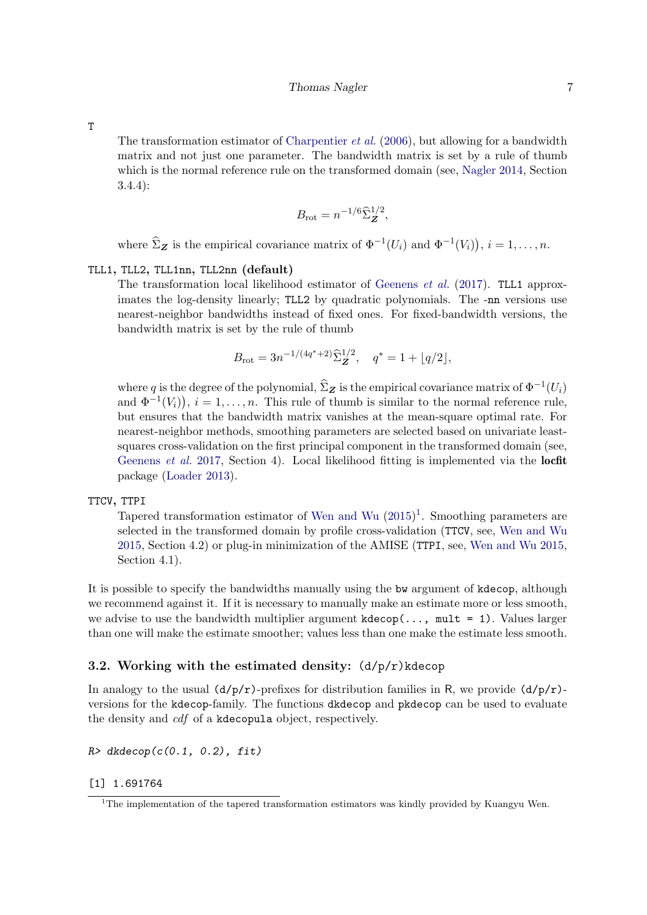T

The transformation estimator of [Charpentier](#page-18-4) *et al.* [\(2006\)](#page-18-4), but allowing for a bandwidth matrix and not just one parameter. The bandwidth matrix is set by a rule of thumb which is the normal reference rule on the transformed domain (see, [Nagler 2014,](#page-19-3) Section 3.4.4):

$$
B_{\rm rot} = n^{-1/6} \widehat{\Sigma}_{\mathbf{Z}}^{1/2},
$$

where  $\widehat{\Sigma}_{\mathbf{Z}}$  is the empirical covariance matrix of  $\Phi^{-1}(U_i)$  and  $\Phi^{-1}(V_i)$ ,  $i = 1, \ldots, n$ .

## TLL1, TLL2, TLL1nn, TLL2nn (default)

The transformation local likelihood estimator of [Geenens](#page-19-4) et al. [\(2017\)](#page-19-4). TLL1 approximates the log-density linearly; TLL2 by quadratic polynomials. The -nn versions use nearest-neighbor bandwidths instead of fixed ones. For fixed-bandwidth versions, the bandwidth matrix is set by the rule of thumb

$$
B_{\rm rot} = 3n^{-1/(4q^*+2)} \widehat{\Sigma}_{\pmb{Z}}^{1/2}, \quad q^* = 1 + \lfloor q/2 \rfloor,
$$

where q is the degree of the polynomial,  $\hat{\Sigma}_{\mathbf{Z}}$  is the empirical covariance matrix of  $\Phi^{-1}(U_i)$ and  $\Phi^{-1}(V_i)$ ,  $i = 1, \ldots, n$ . This rule of thumb is similar to the normal reference rule, but ensures that the bandwidth matrix vanishes at the mean-square optimal rate. For nearest-neighbor methods, smoothing parameters are selected based on univariate leastsquares cross-validation on the first principal component in the transformed domain (see, [Geenens](#page-19-4) et al. [2017,](#page-19-4) Section 4). Local likelihood fitting is implemented via the locfit package [\(Loader 2013\)](#page-19-5).

#### TTCV, TTPI

Tapered transformation estimator of [Wen and Wu](#page-20-6)  $(2015)^{1}$  $(2015)^{1}$  $(2015)^{1}$  $(2015)^{1}$ . Smoothing parameters are selected in the transformed domain by profile cross-validation (TTCV, see, [Wen and Wu](#page-20-6) [2015,](#page-20-6) Section 4.2) or plug-in minimization of the AMISE (TTPI, see, [Wen and Wu 2015,](#page-20-6) Section 4.1).

It is possible to specify the bandwidths manually using the bw argument of kdecop, although we recommend against it. If it is necessary to manually make an estimate more or less smooth, we advise to use the bandwidth multiplier argument  $kdecop(..., mult = 1)$ . Values larger than one will make the estimate smoother; values less than one make the estimate less smooth.

## 3.2. Working with the estimated density:  $(d/p/r)$ kdecop

In analogy to the usual  $(d/p/r)$ -prefixes for distribution families in R, we provide  $(d/p/r)$ versions for the kdecop-family. The functions dkdecop and pkdecop can be used to evaluate the density and cdf of a kdecopula object, respectively.

 $R$ > dkdecop( $c(0.1, 0.2)$ , fit)

[1] 1.691764

<sup>&</sup>lt;sup>1</sup>The implementation of the tapered transformation estimators was kindly provided by Kuangyu Wen.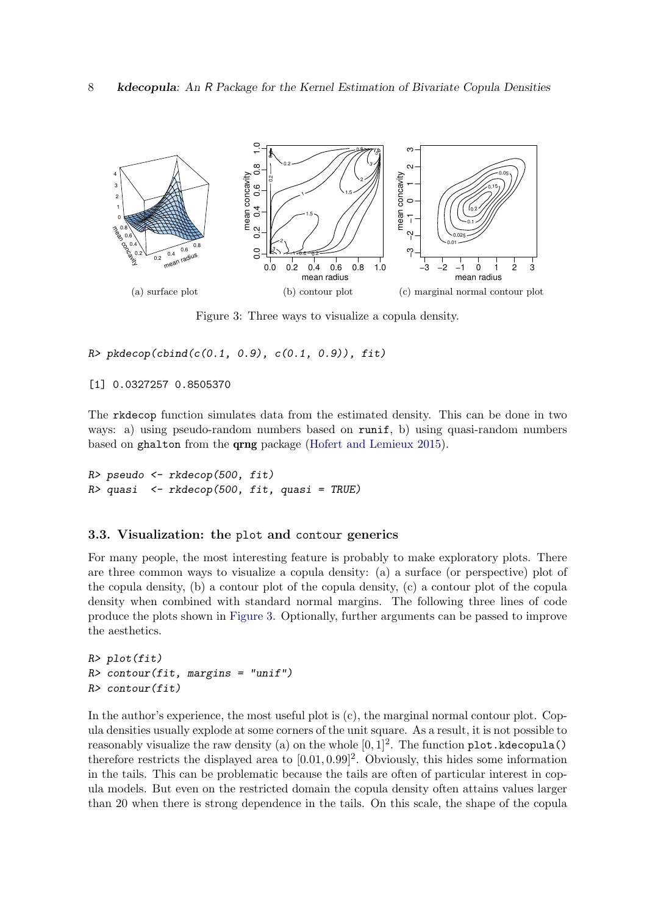<span id="page-7-0"></span>

Figure 3: Three ways to visualize a copula density.

 $R$ > pkdecop(cbind(c(0.1, 0.9), c(0.1, 0.9)), fit)

[1] 0.0327257 0.8505370

The rkdecop function simulates data from the estimated density. This can be done in two ways: a) using pseudo-random numbers based on runif, b) using quasi-random numbers based on ghalton from the qrng package [\(Hofert and Lemieux 2015\)](#page-19-6).

R> pseudo <- rkdecop(500, fit)  $R$ > quasi  $\leq$  rkdecop(500, fit, quasi = TRUE)

#### 3.3. Visualization: the plot and contour generics

For many people, the most interesting feature is probably to make exploratory plots. There are three common ways to visualize a copula density: (a) a surface (or perspective) plot of the copula density, (b) a contour plot of the copula density, (c) a contour plot of the copula density when combined with standard normal margins. The following three lines of code produce the plots shown in [Figure 3.](#page-7-0) Optionally, further arguments can be passed to improve the aesthetics.

```
R> plot(fit)
R> contour(fit, margins = "unif")
R> contour(fit)
```
In the author's experience, the most useful plot is  $(c)$ , the marginal normal contour plot. Copula densities usually explode at some corners of the unit square. As a result, it is not possible to reasonably visualize the raw density (a) on the whole  $[0,1]^2$ . The function plot.kdecopula() therefore restricts the displayed area to  $[0.01, 0.99]^2$ . Obviously, this hides some information in the tails. This can be problematic because the tails are often of particular interest in copula models. But even on the restricted domain the copula density often attains values larger than 20 when there is strong dependence in the tails. On this scale, the shape of the copula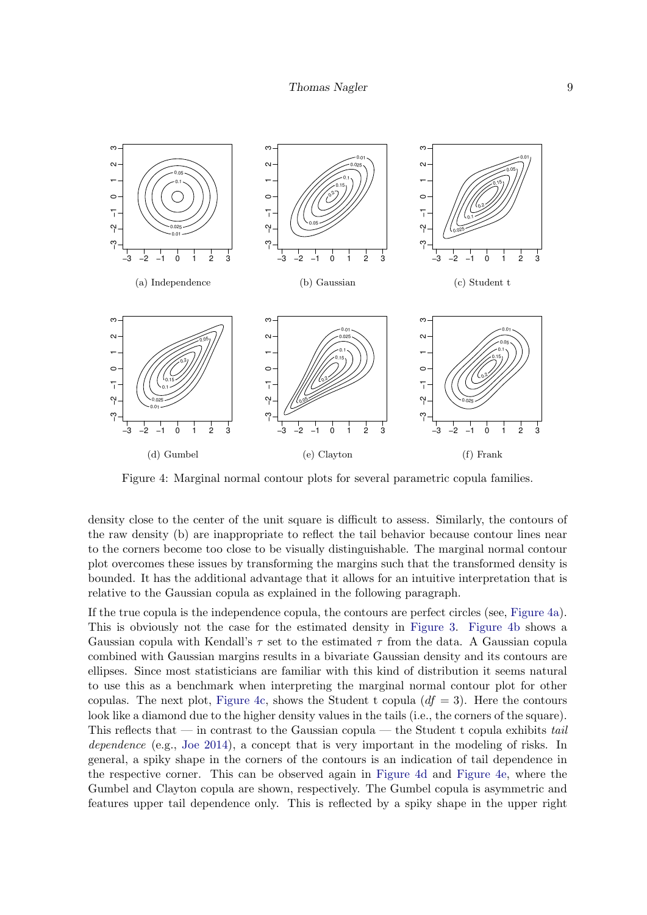<span id="page-8-5"></span><span id="page-8-3"></span><span id="page-8-2"></span><span id="page-8-1"></span><span id="page-8-0"></span>

<span id="page-8-4"></span>Figure 4: Marginal normal contour plots for several parametric copula families.

density close to the center of the unit square is difficult to assess. Similarly, the contours of the raw density (b) are inappropriate to reflect the tail behavior because contour lines near to the corners become too close to be visually distinguishable. The marginal normal contour plot overcomes these issues by transforming the margins such that the transformed density is bounded. It has the additional advantage that it allows for an intuitive interpretation that is relative to the Gaussian copula as explained in the following paragraph.

If the true copula is the independence copula, the contours are perfect circles (see, [Figure 4a\)](#page-8-0). This is obviously not the case for the estimated density in [Figure 3.](#page-7-0) [Figure 4b](#page-8-1) shows a Gaussian copula with Kendall's  $\tau$  set to the estimated  $\tau$  from the data. A Gaussian copula combined with Gaussian margins results in a bivariate Gaussian density and its contours are ellipses. Since most statisticians are familiar with this kind of distribution it seems natural to use this as a benchmark when interpreting the marginal normal contour plot for other copulas. The next plot, [Figure 4c,](#page-8-2) shows the Student t copula  $(df = 3)$ . Here the contours look like a diamond due to the higher density values in the tails (i.e., the corners of the square). This reflects that — in contrast to the Gaussian copula — the Student t copula exhibits tail dependence (e.g., [Joe 2014\)](#page-19-7), a concept that is very important in the modeling of risks. In general, a spiky shape in the corners of the contours is an indication of tail dependence in the respective corner. This can be observed again in [Figure 4d](#page-8-3) and [Figure 4e,](#page-8-4) where the Gumbel and Clayton copula are shown, respectively. The Gumbel copula is asymmetric and features upper tail dependence only. This is reflected by a spiky shape in the upper right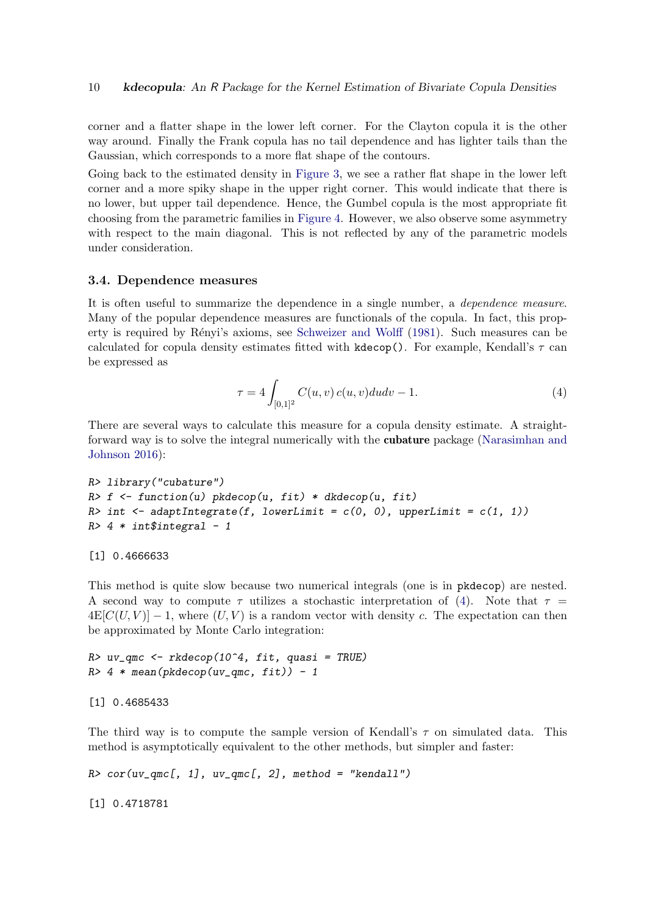corner and a flatter shape in the lower left corner. For the Clayton copula it is the other way around. Finally the Frank copula has no tail dependence and has lighter tails than the Gaussian, which corresponds to a more flat shape of the contours.

Going back to the estimated density in [Figure 3,](#page-7-0) we see a rather flat shape in the lower left corner and a more spiky shape in the upper right corner. This would indicate that there is no lower, but upper tail dependence. Hence, the Gumbel copula is the most appropriate fit choosing from the parametric families in [Figure 4.](#page-8-5) However, we also observe some asymmetry with respect to the main diagonal. This is not reflected by any of the parametric models under consideration.

## 3.4. Dependence measures

It is often useful to summarize the dependence in a single number, a dependence measure. Many of the popular dependence measures are functionals of the copula. In fact, this prop-erty is required by Rényi's axioms, see [Schweizer and Wolff](#page-20-7) [\(1981\)](#page-20-7). Such measures can be calculated for copula density estimates fitted with kdecop(). For example, Kendall's  $\tau$  can be expressed as

<span id="page-9-0"></span>
$$
\tau = 4 \int_{[0,1]^2} C(u,v) c(u,v) du dv - 1.
$$
 (4)

There are several ways to calculate this measure for a copula density estimate. A straightforward way is to solve the integral numerically with the **cubature** package [\(Narasimhan and](#page-20-8) [Johnson 2016\)](#page-20-8):

```
R> library("cubature")
R> f <- function(u) pkdecop(u, fit) * dkdecop(u, fit)
R> int \leq adaptIntegrate(f, lowerLimit = c(0, 0), upperLimit = c(1, 1))
R > 4 * int$integral - 1
```
[1] 0.4666633

This method is quite slow because two numerical integrals (one is in pkdecop) are nested. A second way to compute  $\tau$  utilizes a stochastic interpretation of [\(4\)](#page-9-0). Note that  $\tau =$  $4E[C(U, V)] - 1$ , where  $(U, V)$  is a random vector with density c. The expectation can then be approximated by Monte Carlo integration:

 $R$  v\_qmc <- rkdecop(10^4, fit, quasi = TRUE)  $R > 4 * mean(\text{pkdecop}(uv_qmc, fit)) - 1$ 

```
[1] 0.4685433
```
The third way is to compute the sample version of Kendall's  $\tau$  on simulated data. This method is asymptotically equivalent to the other methods, but simpler and faster:

 $R > cor(uv\_qmc[, 1], uv\_qmc[, 2], method = "kendall")$ 

[1] 0.4718781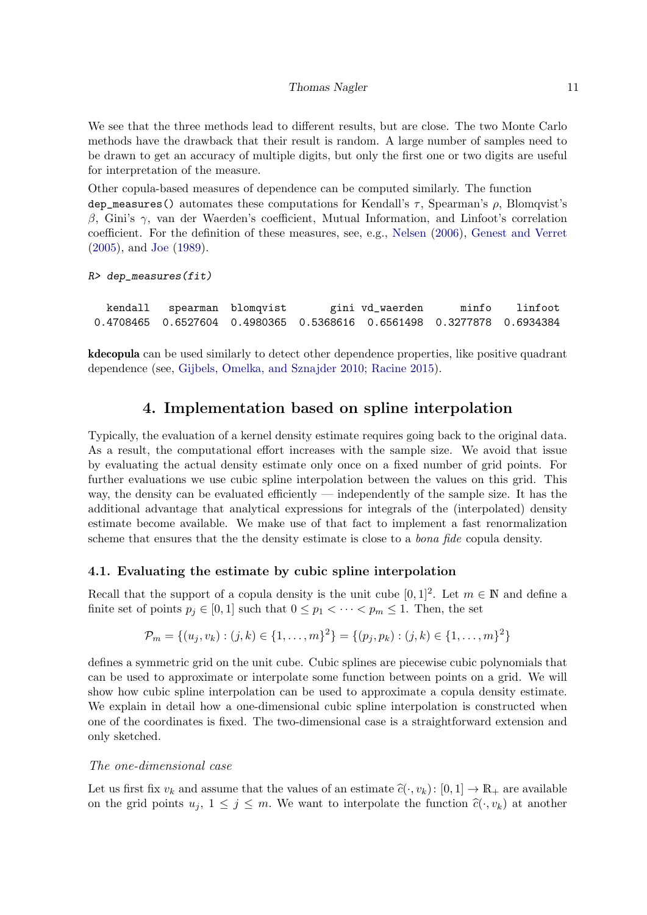We see that the three methods lead to different results, but are close. The two Monte Carlo methods have the drawback that their result is random. A large number of samples need to be drawn to get an accuracy of multiple digits, but only the first one or two digits are useful for interpretation of the measure.

Other copula-based measures of dependence can be computed similarly. The function dep\_measures() automates these computations for Kendall's  $\tau$ , Spearman's  $\rho$ , Blomqvist's  $β$ , Gini's γ, van der Waerden's coefficient, Mutual Information, and Linfoot's correlation coefficient. For the definition of these measures, see, e.g., [Nelsen](#page-20-9) [\(2006\)](#page-20-9), [Genest and Verret](#page-19-8) [\(2005\)](#page-19-8), and [Joe](#page-19-9) [\(1989\)](#page-19-9).

R> dep\_measures(fit)

kendall spearman blomqvist gini vd\_waerden minfo linfoot 0.4708465 0.6527604 0.4980365 0.5368616 0.6561498 0.3277878 0.6934384

kdecopula can be used similarly to detect other dependence properties, like positive quadrant dependence (see, [Gijbels, Omelka, and Sznajder 2010;](#page-19-10) [Racine 2015\)](#page-20-3).

# 4. Implementation based on spline interpolation

<span id="page-10-0"></span>Typically, the evaluation of a kernel density estimate requires going back to the original data. As a result, the computational effort increases with the sample size. We avoid that issue by evaluating the actual density estimate only once on a fixed number of grid points. For further evaluations we use cubic spline interpolation between the values on this grid. This way, the density can be evaluated efficiently — independently of the sample size. It has the additional advantage that analytical expressions for integrals of the (interpolated) density estimate become available. We make use of that fact to implement a fast renormalization scheme that ensures that the the density estimate is close to a *bona fide* copula density.

## 4.1. Evaluating the estimate by cubic spline interpolation

Recall that the support of a copula density is the unit cube  $[0,1]^2$ . Let  $m \in \mathbb{N}$  and define a finite set of points  $p_j \in [0,1]$  such that  $0 \leq p_1 < \cdots < p_m \leq 1$ . Then, the set

$$
\mathcal{P}_m = \{(u_j, v_k) : (j, k) \in \{1, \dots, m\}^2\} = \{(p_j, p_k) : (j, k) \in \{1, \dots, m\}^2\}
$$

defines a symmetric grid on the unit cube. Cubic splines are piecewise cubic polynomials that can be used to approximate or interpolate some function between points on a grid. We will show how cubic spline interpolation can be used to approximate a copula density estimate. We explain in detail how a one-dimensional cubic spline interpolation is constructed when one of the coordinates is fixed. The two-dimensional case is a straightforward extension and only sketched.

## The one-dimensional case

Let us first fix  $v_k$  and assume that the values of an estimate  $\hat{c}(\cdot, v_k)$ :  $[0, 1] \to \mathbb{R}_+$  are available on the grid points  $u_j, 1 \leq j \leq m$ . We want to interpolate the function  $\hat{c}(\cdot, v_k)$  at another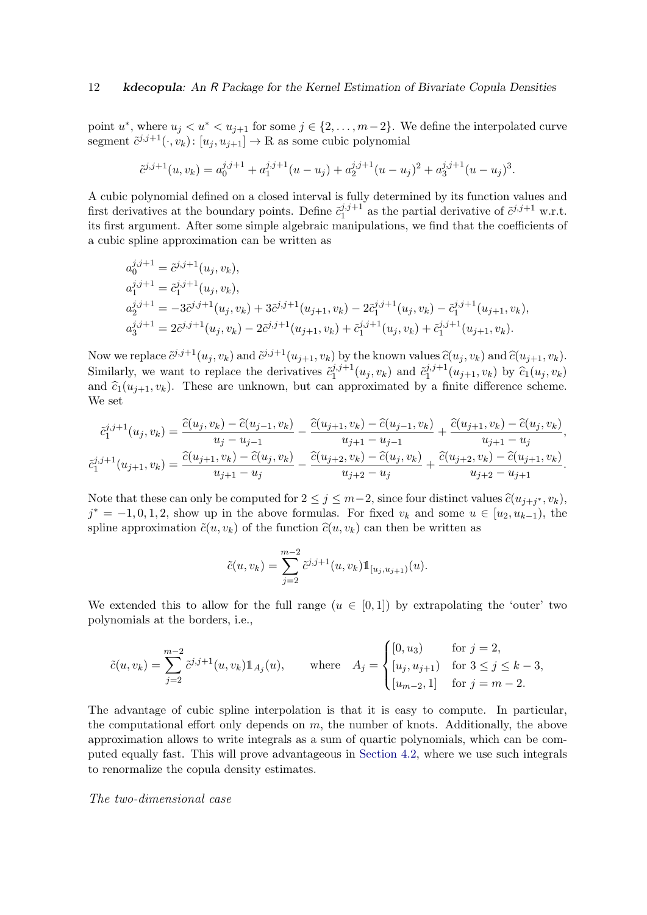point  $u^*$ , where  $u_j < u^* < u_{j+1}$  for some  $j \in \{2, \ldots, m-2\}$ . We define the interpolated curve segment  $\tilde{c}^{j,j+1}(\cdot, v_k)$ :  $[u_j, u_{j+1}] \to \mathbb{R}$  as some cubic polynomial

$$
\tilde{c}^{j,j+1}(u,v_k) = a_0^{j,j+1} + a_1^{j,j+1}(u-u_j) + a_2^{j,j+1}(u-u_j)^2 + a_3^{j,j+1}(u-u_j)^3.
$$

A cubic polynomial defined on a closed interval is fully determined by its function values and first derivatives at the boundary points. Define  $\tilde{c}_1^{j,j+1}$  $j^{j,j+1}_{1}$  as the partial derivative of  $\tilde{c}^{j,j+1}$  w.r.t. its first argument. After some simple algebraic manipulations, we find that the coefficients of a cubic spline approximation can be written as

$$
a_0^{j,j+1} = \tilde{c}_1^{j,j+1}(u_j, v_k),
$$
  
\n
$$
a_1^{j,j+1} = \tilde{c}_1^{j,j+1}(u_j, v_k),
$$
  
\n
$$
a_2^{j,j+1} = -3\tilde{c}_1^{j,j+1}(u_j, v_k) + 3\tilde{c}_1^{j,j+1}(u_{j+1}, v_k) - 2\tilde{c}_1^{j,j+1}(u_j, v_k) - \tilde{c}_1^{j,j+1}(u_{j+1}, v_k),
$$
  
\n
$$
a_3^{j,j+1} = 2\tilde{c}_1^{j,j+1}(u_j, v_k) - 2\tilde{c}_1^{j,j+1}(u_{j+1}, v_k) + \tilde{c}_1^{j,j+1}(u_j, v_k) + \tilde{c}_1^{j,j+1}(u_{j+1}, v_k).
$$

Now we replace  $\tilde{c}^{j,j+1}(u_j, v_k)$  and  $\tilde{c}^{j,j+1}(u_{j+1}, v_k)$  by the known values  $\tilde{c}(u_j, v_k)$  and  $\tilde{c}(u_{j+1}, v_k)$ . Similarly, we want to replace the derivatives  $\tilde{c}_1^{j,j+1}$  $\tilde{c}_1^{j,j+1}(u_j,v_k)$  and  $\tilde{c}_1^{j,j+1}$  $\hat{c}_1^{j,j+1}(u_{j+1},v_k)$  by  $\hat{c}_1(u_j,v_k)$ and  $\hat{c}_1(u_{i+1}, v_k)$ . These are unknown, but can approximated by a finite difference scheme. We set

$$
\tilde{c}_{1}^{i,j+1}(u_j, v_k) = \frac{\tilde{c}(u_j, v_k) - \tilde{c}(u_{j-1}, v_k)}{u_j - u_{j-1}} - \frac{\tilde{c}(u_{j+1}, v_k) - \tilde{c}(u_{j-1}, v_k)}{u_{j+1} - u_{j-1}} + \frac{\tilde{c}(u_{j+1}, v_k) - \tilde{c}(u_j, v_k)}{u_{j+1} - u_j},
$$
  

$$
\tilde{c}_{1}^{i,j+1}(u_{j+1}, v_k) = \frac{\tilde{c}(u_{j+1}, v_k) - \tilde{c}(u_j, v_k)}{u_{j+1} - u_j} - \frac{\tilde{c}(u_{j+2}, v_k) - \tilde{c}(u_j, v_k)}{u_{j+2} - u_j} + \frac{\tilde{c}(u_{j+2}, v_k) - \tilde{c}(u_{j+1}, v_k)}{u_{j+2} - u_{j+1}}.
$$

Note that these can only be computed for  $2 \le j \le m-2$ , since four distinct values  $\hat{c}(u_{j+j^*}, v_k)$ ,  $j^* = -1, 0, 1, 2$ , show up in the above formulas. For fixed  $v_k$  and some  $u \in [u_2, u_{k-1})$ , the spline approximation  $\tilde{c}(u, v_k)$  of the function  $\hat{c}(u, v_k)$  can then be written as

$$
\tilde{c}(u, v_k) = \sum_{j=2}^{m-2} \tilde{c}^{j,j+1}(u, v_k) \mathbb{1}_{[u_j, u_{j+1})}(u).
$$

We extended this to allow for the full range  $(u \in [0,1])$  by extrapolating the 'outer' two polynomials at the borders, i.e.,

$$
\tilde{c}(u, v_k) = \sum_{j=2}^{m-2} \tilde{c}^{j,j+1}(u, v_k) \mathbb{1}_{A_j}(u), \quad \text{where} \quad A_j = \begin{cases} [0, u_3) & \text{for } j = 2, \\ [u_j, u_{j+1}) & \text{for } 3 \le j \le k - 3, \\ [u_{m-2}, 1] & \text{for } j = m - 2. \end{cases}
$$

The advantage of cubic spline interpolation is that it is easy to compute. In particular, the computational effort only depends on  $m$ , the number of knots. Additionally, the above approximation allows to write integrals as a sum of quartic polynomials, which can be computed equally fast. This will prove advantageous in [Section 4.2,](#page-13-0) where we use such integrals to renormalize the copula density estimates.

## The two-dimensional case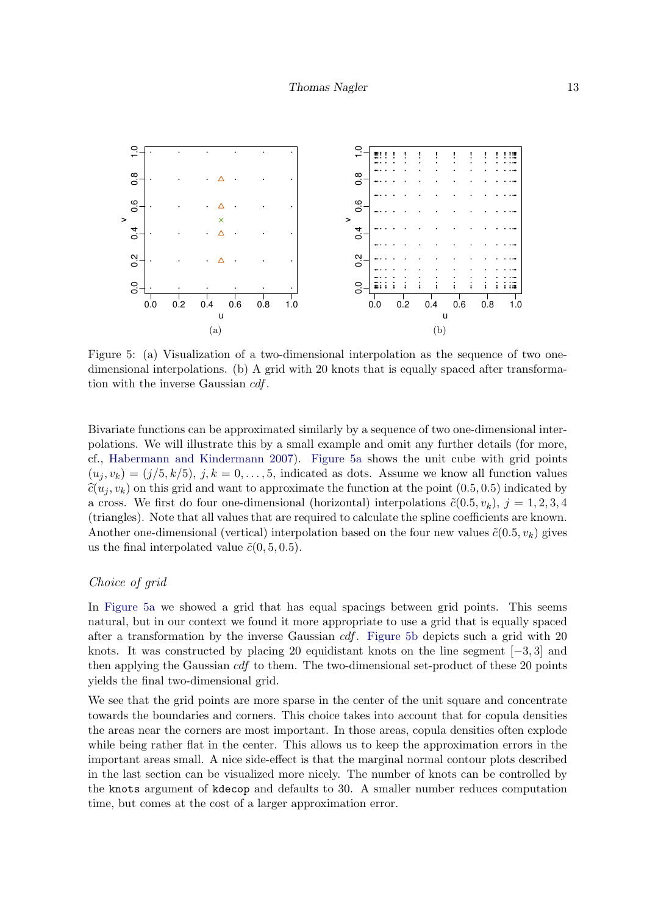<span id="page-12-0"></span>

<span id="page-12-1"></span>Figure 5: (a) Visualization of a two-dimensional interpolation as the sequence of two onedimensional interpolations. (b) A grid with 20 knots that is equally spaced after transformation with the inverse Gaussian cdf.

Bivariate functions can be approximated similarly by a sequence of two one-dimensional interpolations. We will illustrate this by a small example and omit any further details (for more, cf., [Habermann and Kindermann 2007\)](#page-19-11). [Figure 5a](#page-12-0) shows the unit cube with grid points  $(u_i, v_k) = (j/5, k/5), j, k = 0, \ldots, 5$ , indicated as dots. Assume we know all function values  $\hat{c}(u_i, v_k)$  on this grid and want to approximate the function at the point  $(0.5, 0.5)$  indicated by a cross. We first do four one-dimensional (horizontal) interpolations  $\tilde{c}(0.5, v_k)$ ,  $j = 1, 2, 3, 4$ (triangles). Note that all values that are required to calculate the spline coefficients are known. Another one-dimensional (vertical) interpolation based on the four new values  $\tilde{c}(0.5, v_k)$  gives us the final interpolated value  $\tilde{c}(0, 5, 0.5)$ .

## Choice of grid

In [Figure 5a](#page-12-0) we showed a grid that has equal spacings between grid points. This seems natural, but in our context we found it more appropriate to use a grid that is equally spaced after a transformation by the inverse Gaussian  $cdf$ . [Figure 5b](#page-12-1) depicts such a grid with 20 knots. It was constructed by placing 20 equidistant knots on the line segment  $[-3, 3]$  and then applying the Gaussian cdf to them. The two-dimensional set-product of these 20 points yields the final two-dimensional grid.

We see that the grid points are more sparse in the center of the unit square and concentrate towards the boundaries and corners. This choice takes into account that for copula densities the areas near the corners are most important. In those areas, copula densities often explode while being rather flat in the center. This allows us to keep the approximation errors in the important areas small. A nice side-effect is that the marginal normal contour plots described in the last section can be visualized more nicely. The number of knots can be controlled by the knots argument of kdecop and defaults to 30. A smaller number reduces computation time, but comes at the cost of a larger approximation error.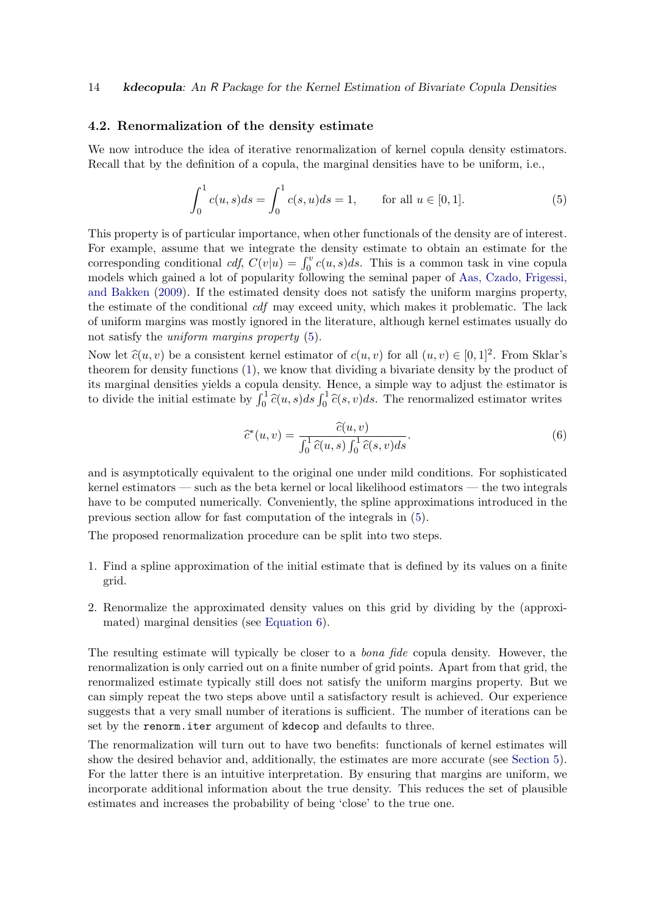#### <span id="page-13-0"></span>4.2. Renormalization of the density estimate

We now introduce the idea of iterative renormalization of kernel copula density estimators. Recall that by the definition of a copula, the marginal densities have to be uniform, i.e.,

<span id="page-13-1"></span>
$$
\int_0^1 c(u,s)ds = \int_0^1 c(s,u)ds = 1, \quad \text{for all } u \in [0,1].
$$
 (5)

This property is of particular importance, when other functionals of the density are of interest. For example, assume that we integrate the density estimate to obtain an estimate for the corresponding conditional  $cdf$ ,  $C(v|u) = \int_0^v c(u, s)ds$ . This is a common task in vine copula models which gained a lot of popularity following the seminal paper of [Aas, Czado, Frigessi,](#page-18-6) [and Bakken](#page-18-6) [\(2009\)](#page-18-6). If the estimated density does not satisfy the uniform margins property, the estimate of the conditional cdf may exceed unity, which makes it problematic. The lack of uniform margins was mostly ignored in the literature, although kernel estimates usually do not satisfy the *uniform margins property*  $(5)$ .

Now let  $\hat{c}(u, v)$  be a consistent kernel estimator of  $c(u, v)$  for all  $(u, v) \in [0, 1]^2$ . From Sklar's theorem for density functions [\(1\)](#page-0-1), we know that dividing a bivariate density by the product of its marginal densities yields a copula density. Hence, a simple way to adjust the estimator is to divide the initial estimate by  $\int_0^1 \hat{c}(u, s)ds \int_0^1 \hat{c}(s, v)ds$ . The renormalized estimator writes

<span id="page-13-2"></span>
$$
\widehat{c}^*(u,v) = \frac{\widehat{c}(u,v)}{\int_0^1 \widehat{c}(u,s) \int_0^1 \widehat{c}(s,v)ds}.
$$
\n(6)

and is asymptotically equivalent to the original one under mild conditions. For sophisticated kernel estimators — such as the beta kernel or local likelihood estimators — the two integrals have to be computed numerically. Conveniently, the spline approximations introduced in the previous section allow for fast computation of the integrals in [\(5\)](#page-13-1).

The proposed renormalization procedure can be split into two steps.

- 1. Find a spline approximation of the initial estimate that is defined by its values on a finite grid.
- 2. Renormalize the approximated density values on this grid by dividing by the (approximated) marginal densities (see [Equation 6\)](#page-13-2).

The resulting estimate will typically be closer to a bona fide copula density. However, the renormalization is only carried out on a finite number of grid points. Apart from that grid, the renormalized estimate typically still does not satisfy the uniform margins property. But we can simply repeat the two steps above until a satisfactory result is achieved. Our experience suggests that a very small number of iterations is sufficient. The number of iterations can be set by the renorm.iter argument of kdecop and defaults to three.

The renormalization will turn out to have two benefits: functionals of kernel estimates will show the desired behavior and, additionally, the estimates are more accurate (see [Section 5\)](#page-14-0). For the latter there is an intuitive interpretation. By ensuring that margins are uniform, we incorporate additional information about the true density. This reduces the set of plausible estimates and increases the probability of being 'close' to the true one.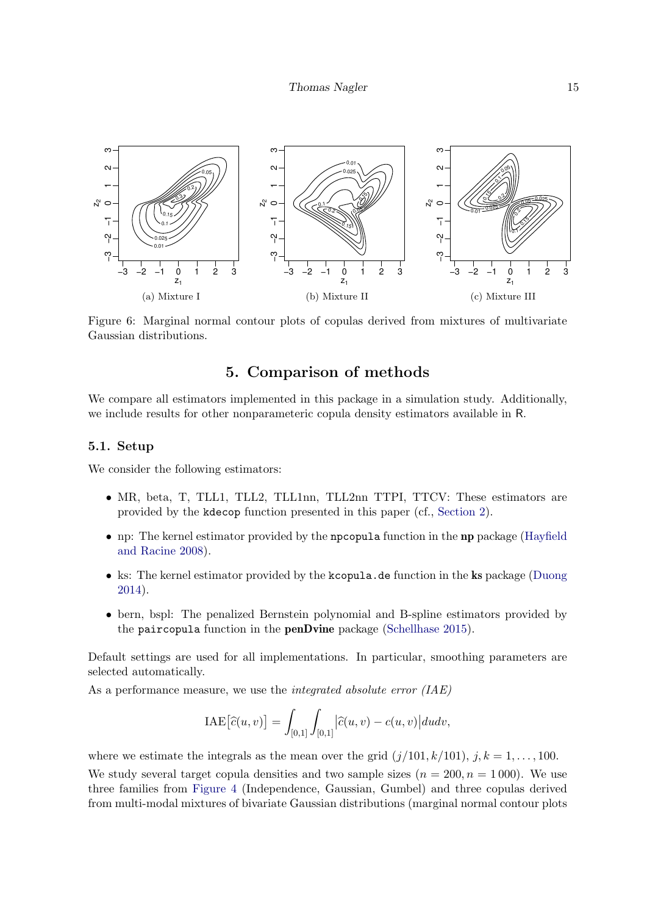<span id="page-14-1"></span>

Figure 6: Marginal normal contour plots of copulas derived from mixtures of multivariate Gaussian distributions.

# 5. Comparison of methods

<span id="page-14-0"></span>We compare all estimators implemented in this package in a simulation study. Additionally, we include results for other nonparameteric copula density estimators available in R.

## 5.1. Setup

We consider the following estimators:

- MR, beta, T, TLL1, TLL2, TLL1nn, TLL2nn TTPI, TTCV: These estimators are provided by the kdecop function presented in this paper (cf., [Section 2\)](#page-2-0).
- np: The kernel estimator provided by the npcopula function in the np package [\(Hayfield](#page-19-1) [and Racine 2008\)](#page-19-1).
- ks: The kernel estimator provided by the kcopula.de function in the ks package [\(Duong](#page-18-3) [2014\)](#page-18-3).
- bern, bspl: The penalized Bernstein polynomial and B-spline estimators provided by the paircopula function in the penDvine package [\(Schellhase 2015\)](#page-20-5).

Default settings are used for all implementations. In particular, smoothing parameters are selected automatically.

As a performance measure, we use the *integrated absolute error* (IAE)

$$
\text{IAE}\big[\widehat{c}(u,v)\big]=\int_{[0,1]}\int_{[0,1]} \bigl|\widehat{c}(u,v)-c(u,v)\bigr|dudv,
$$

where we estimate the integrals as the mean over the grid  $(j/101, k/101)$ ,  $j, k = 1, \ldots, 100$ . We study several target copula densities and two sample sizes  $(n = 200, n = 1000)$ . We use three families from [Figure 4](#page-8-5) (Independence, Gaussian, Gumbel) and three copulas derived from multi-modal mixtures of bivariate Gaussian distributions (marginal normal contour plots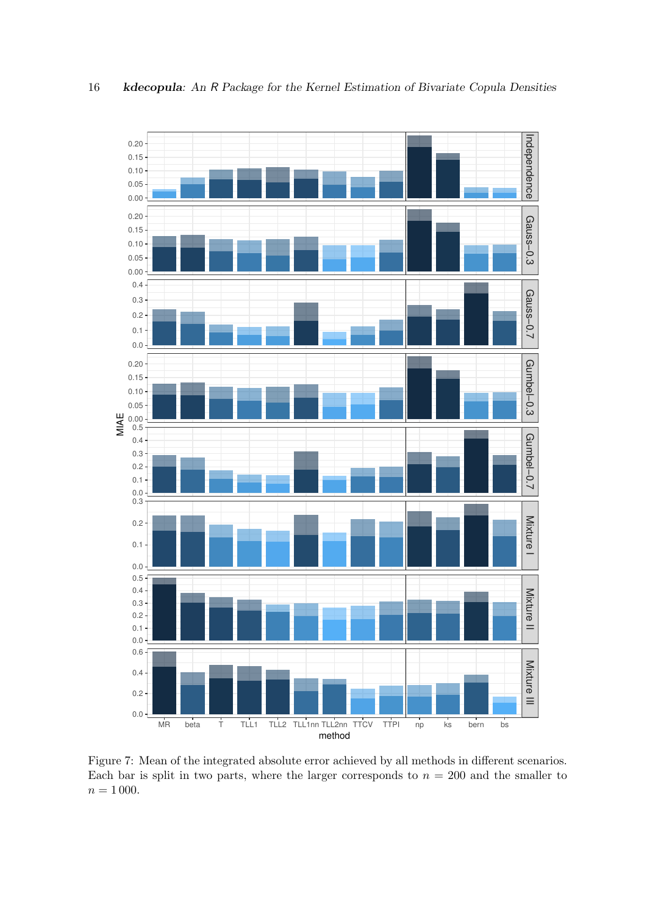<span id="page-15-0"></span>

0.0 0.3

0.2

0.0 0.1

0.0 0.1 0.2 0.3 0.4 0.5

0.0 0.2 0.4 0.6

Figure 7: Mean of the integrated absolute error achieved by all methods in different scenarios. Each bar is split in two parts, where the larger corresponds to  $n = 200$  and the smaller to  $n = 1000$ .

MR beta T TLL1 TLL2 TLL1nn TLL2nn TTCV TTPI np ks bern bs

method

Mixture I

Mixture II

Mixture II

Mixture III

Mixture III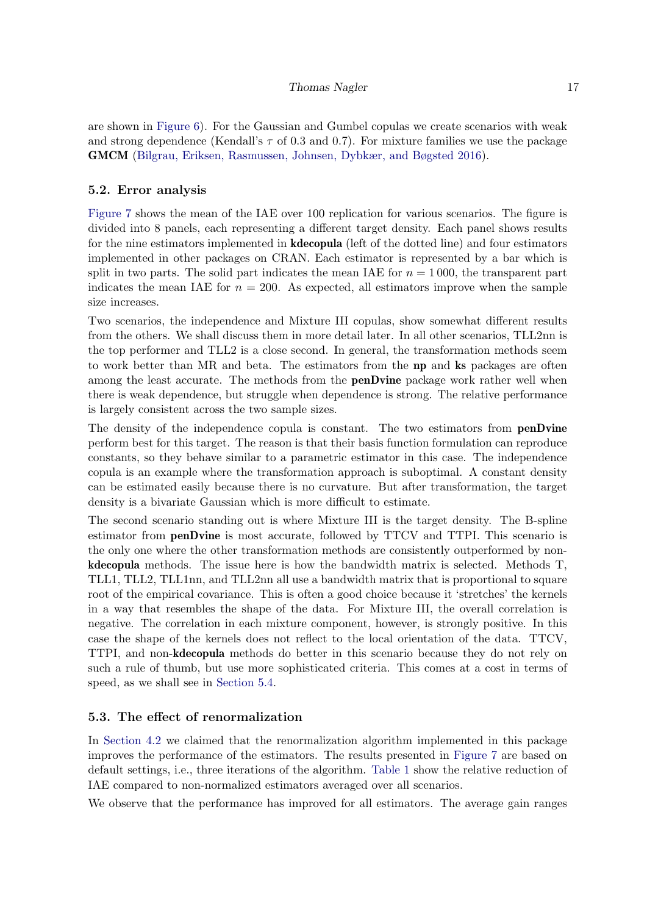## Thomas Nagler 17

are shown in [Figure 6\)](#page-14-1). For the Gaussian and Gumbel copulas we create scenarios with weak and strong dependence (Kendall's  $\tau$  of 0.3 and 0.7). For mixture families we use the package GMCM [\(Bilgrau, Eriksen, Rasmussen, Johnsen, Dybkær, and Bøgsted 2016\)](#page-18-7).

## 5.2. Error analysis

[Figure 7](#page-15-0) shows the mean of the IAE over 100 replication for various scenarios. The figure is divided into 8 panels, each representing a different target density. Each panel shows results for the nine estimators implemented in **kdecopula** (left of the dotted line) and four estimators implemented in other packages on CRAN. Each estimator is represented by a bar which is split in two parts. The solid part indicates the mean IAE for  $n = 1000$ , the transparent part indicates the mean IAE for  $n = 200$ . As expected, all estimators improve when the sample size increases.

Two scenarios, the independence and Mixture III copulas, show somewhat different results from the others. We shall discuss them in more detail later. In all other scenarios, TLL2nn is the top performer and TLL2 is a close second. In general, the transformation methods seem to work better than MR and beta. The estimators from the np and ks packages are often among the least accurate. The methods from the **penDvine** package work rather well when there is weak dependence, but struggle when dependence is strong. The relative performance is largely consistent across the two sample sizes.

The density of the independence copula is constant. The two estimators from **penDvine** perform best for this target. The reason is that their basis function formulation can reproduce constants, so they behave similar to a parametric estimator in this case. The independence copula is an example where the transformation approach is suboptimal. A constant density can be estimated easily because there is no curvature. But after transformation, the target density is a bivariate Gaussian which is more difficult to estimate.

The second scenario standing out is where Mixture III is the target density. The B-spline estimator from penDvine is most accurate, followed by TTCV and TTPI. This scenario is the only one where the other transformation methods are consistently outperformed by nonkdecopula methods. The issue here is how the bandwidth matrix is selected. Methods T, TLL1, TLL2, TLL1nn, and TLL2nn all use a bandwidth matrix that is proportional to square root of the empirical covariance. This is often a good choice because it 'stretches' the kernels in a way that resembles the shape of the data. For Mixture III, the overall correlation is negative. The correlation in each mixture component, however, is strongly positive. In this case the shape of the kernels does not reflect to the local orientation of the data. TTCV, TTPI, and non-kdecopula methods do better in this scenario because they do not rely on such a rule of thumb, but use more sophisticated criteria. This comes at a cost in terms of speed, as we shall see in [Section 5.4.](#page-17-1)

## 5.3. The effect of renormalization

In [Section 4.2](#page-13-0) we claimed that the renormalization algorithm implemented in this package improves the performance of the estimators. The results presented in [Figure 7](#page-15-0) are based on default settings, i.e., three iterations of the algorithm. [Table 1](#page-17-2) show the relative reduction of IAE compared to non-normalized estimators averaged over all scenarios.

We observe that the performance has improved for all estimators. The average gain ranges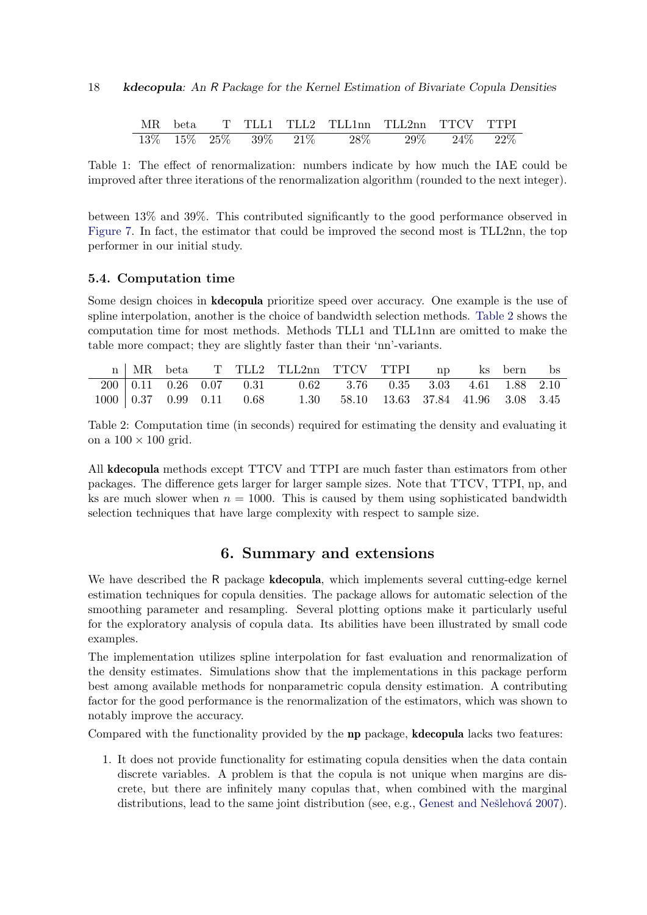<span id="page-17-2"></span>

| МR     | beta |        |        |        |        | TLL1 TLL2 TLL1nn TLL2nn TTCV TTPI |      |     |
|--------|------|--------|--------|--------|--------|-----------------------------------|------|-----|
| $13\%$ | 15%  | $25\%$ | $39\%$ | $21\%$ | $28\%$ | 29\%                              | 24\% | 22% |

Table 1: The effect of renormalization: numbers indicate by how much the IAE could be improved after three iterations of the renormalization algorithm (rounded to the next integer).

between 13% and 39%. This contributed significantly to the good performance observed in [Figure 7.](#page-15-0) In fact, the estimator that could be improved the second most is TLL2nn, the top performer in our initial study.

## <span id="page-17-1"></span>5.4. Computation time

Some design choices in kdecopula prioritize speed over accuracy. One example is the use of spline interpolation, another is the choice of bandwidth selection methods. [Table 2](#page-17-3) shows the computation time for most methods. Methods TLL1 and TLL1nn are omitted to make the table more compact; they are slightly faster than their 'nn'-variants.

<span id="page-17-3"></span>

|  |  | n MR beta T TLL2 TLL2nn TTCV TTPI np ks bern bs                                                                                     |  |  |  |
|--|--|-------------------------------------------------------------------------------------------------------------------------------------|--|--|--|
|  |  | $200 \mid 0.11 \quad 0.26 \quad 0.07 \qquad 0.31 \qquad 0.62 \qquad 3.76 \qquad 0.35 \qquad 3.03 \qquad 4.61 \quad 1.88 \quad 2.10$ |  |  |  |
|  |  | $1000 \mid 0.37 \quad 0.99 \quad 0.11 \qquad 0.68$ 1.30 58.10 13.63 37.84 41.96 3.08 3.45                                           |  |  |  |

Table 2: Computation time (in seconds) required for estimating the density and evaluating it on a  $100 \times 100$  grid.

All kdecopula methods except TTCV and TTPI are much faster than estimators from other packages. The difference gets larger for larger sample sizes. Note that TTCV, TTPI, np, and ks are much slower when  $n = 1000$ . This is caused by them using sophisticated bandwidth selection techniques that have large complexity with respect to sample size.

# 6. Summary and extensions

<span id="page-17-0"></span>We have described the R package **kdecopula**, which implements several cutting-edge kernel estimation techniques for copula densities. The package allows for automatic selection of the smoothing parameter and resampling. Several plotting options make it particularly useful for the exploratory analysis of copula data. Its abilities have been illustrated by small code examples.

The implementation utilizes spline interpolation for fast evaluation and renormalization of the density estimates. Simulations show that the implementations in this package perform best among available methods for nonparametric copula density estimation. A contributing factor for the good performance is the renormalization of the estimators, which was shown to notably improve the accuracy.

Compared with the functionality provided by the np package, kdecopula lacks two features:

1. It does not provide functionality for estimating copula densities when the data contain discrete variables. A problem is that the copula is not unique when margins are discrete, but there are infinitely many copulas that, when combined with the marginal distributions, lead to the same joint distribution (see, e.g., Genest and Nešlehová 2007).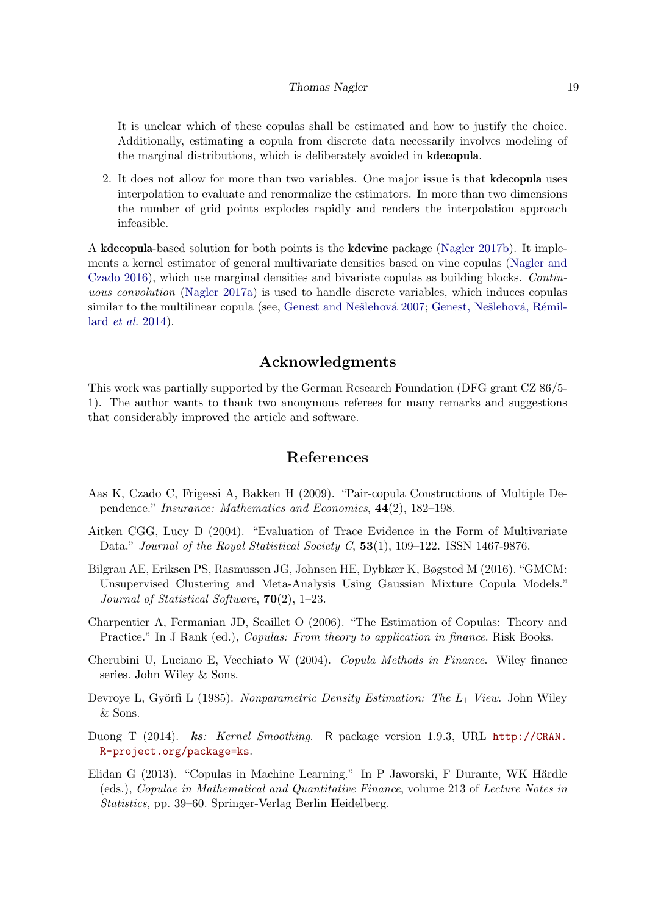#### Thomas Nagler 19

It is unclear which of these copulas shall be estimated and how to justify the choice. Additionally, estimating a copula from discrete data necessarily involves modeling of the marginal distributions, which is deliberately avoided in kdecopula.

2. It does not allow for more than two variables. One major issue is that kdecopula uses interpolation to evaluate and renormalize the estimators. In more than two dimensions the number of grid points explodes rapidly and renders the interpolation approach infeasible.

A kdecopula-based solution for both points is the kdevine package [\(Nagler 2017b\)](#page-19-13). It implements a kernel estimator of general multivariate densities based on vine copulas [\(Nagler and](#page-19-14) [Czado 2016\)](#page-19-14), which use marginal densities and bivariate copulas as building blocks. Continuous convolution [\(Nagler 2017a\)](#page-19-15) is used to handle discrete variables, which induces copulas similar to the multilinear copula (see, Genest and Nešlehová 2007; Genest, Nešlehová, Rémillard [et al.](#page-19-16) [2014\)](#page-19-16).

# Acknowledgments

This work was partially supported by the German Research Foundation (DFG grant CZ 86/5- 1). The author wants to thank two anonymous referees for many remarks and suggestions that considerably improved the article and software.

# References

- <span id="page-18-6"></span>Aas K, Czado C, Frigessi A, Bakken H (2009). "Pair-copula Constructions of Multiple Dependence." Insurance: Mathematics and Economics, 44(2), 182–198.
- <span id="page-18-2"></span>Aitken CGG, Lucy D (2004). "Evaluation of Trace Evidence in the Form of Multivariate Data." Journal of the Royal Statistical Society C,  $53(1)$ ,  $109-122$ . ISSN 1467-9876.
- <span id="page-18-7"></span>Bilgrau AE, Eriksen PS, Rasmussen JG, Johnsen HE, Dybkær K, Bøgsted M (2016). "GMCM: Unsupervised Clustering and Meta-Analysis Using Gaussian Mixture Copula Models." Journal of Statistical Software, 70(2), 1–23.
- <span id="page-18-4"></span>Charpentier A, Fermanian JD, Scaillet O (2006). "The Estimation of Copulas: Theory and Practice." In J Rank (ed.), *Copulas: From theory to application in finance*. Risk Books.
- <span id="page-18-0"></span>Cherubini U, Luciano E, Vecchiato W (2004). Copula Methods in Finance. Wiley finance series. John Wiley & Sons.
- <span id="page-18-5"></span>Devroye L, Györfi L (1985). Nonparametric Density Estimation: The  $L_1$  View. John Wiley & Sons.
- <span id="page-18-3"></span>Duong T (2014). ks: Kernel Smoothing. R package version 1.9.3, URL [http://CRAN.](http://CRAN.R-project.org/package=ks) [R-project.org/package=ks](http://CRAN.R-project.org/package=ks).
- <span id="page-18-1"></span>Elidan G (2013). "Copulas in Machine Learning." In P Jaworski, F Durante, WK Härdle (eds.), Copulae in Mathematical and Quantitative Finance, volume 213 of Lecture Notes in Statistics, pp. 39–60. Springer-Verlag Berlin Heidelberg.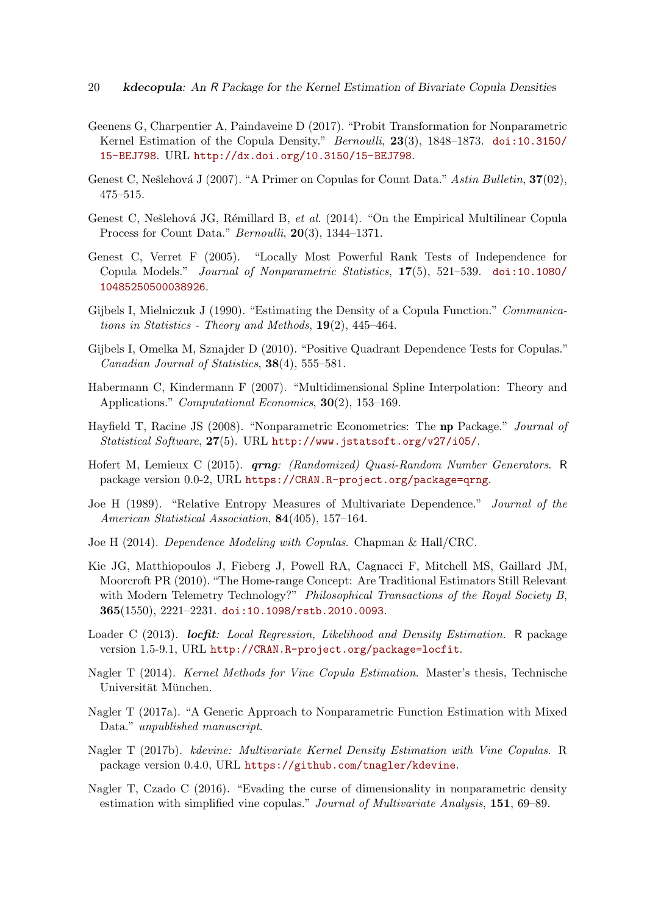- 20 kdecopula: An R Package for the Kernel Estimation of Bivariate Copula Densities
- <span id="page-19-4"></span>Geenens G, Charpentier A, Paindaveine D (2017). "Probit Transformation for Nonparametric Kernel Estimation of the Copula Density." Bernoulli, 23(3), 1848–1873. [doi:10.3150/](http://dx.doi.org/10.3150/15-BEJ798) [15-BEJ798](http://dx.doi.org/10.3150/15-BEJ798). URL <http://dx.doi.org/10.3150/15-BEJ798>.
- <span id="page-19-12"></span>Genest C, Nešlehová J (2007). "A Primer on Copulas for Count Data." Astin Bulletin,  $37(02)$ , 475–515.
- <span id="page-19-16"></span>Genest C, Nešlehová JG, Rémillard B, et al. (2014). "On the Empirical Multilinear Copula Process for Count Data." Bernoulli, 20(3), 1344-1371.
- <span id="page-19-8"></span>Genest C, Verret F (2005). "Locally Most Powerful Rank Tests of Independence for Copula Models." Journal of Nonparametric Statistics, 17(5), 521–539. [doi:10.1080/](http://dx.doi.org/10.1080/10485250500038926) [10485250500038926](http://dx.doi.org/10.1080/10485250500038926).
- <span id="page-19-2"></span>Gijbels I, Mielniczuk J (1990). "Estimating the Density of a Copula Function." Communications in Statistics - Theory and Methods,  $19(2)$ , 445–464.
- <span id="page-19-10"></span>Gijbels I, Omelka M, Sznajder D (2010). "Positive Quadrant Dependence Tests for Copulas." Canadian Journal of Statistics, 38(4), 555–581.
- <span id="page-19-11"></span>Habermann C, Kindermann F (2007). "Multidimensional Spline Interpolation: Theory and Applications." *Computational Economics*, **30**(2), 153–169.
- <span id="page-19-1"></span>Hayfield T, Racine JS (2008). "Nonparametric Econometrics: The np Package." Journal of Statistical Software, 27(5). URL <http://www.jstatsoft.org/v27/i05/>.
- <span id="page-19-6"></span>Hofert M, Lemieux C (2015). **qrng**: (Randomized) Quasi-Random Number Generators. R package version 0.0-2, URL <https://CRAN.R-project.org/package=qrng>.
- <span id="page-19-9"></span>Joe H (1989). "Relative Entropy Measures of Multivariate Dependence." Journal of the American Statistical Association, 84(405), 157–164.
- <span id="page-19-7"></span>Joe H (2014). Dependence Modeling with Copulas. Chapman & Hall/CRC.
- <span id="page-19-0"></span>Kie JG, Matthiopoulos J, Fieberg J, Powell RA, Cagnacci F, Mitchell MS, Gaillard JM, Moorcroft PR (2010). "The Home-range Concept: Are Traditional Estimators Still Relevant with Modern Telemetry Technology?" Philosophical Transactions of the Royal Society B, 365(1550), 2221–2231. [doi:10.1098/rstb.2010.0093](http://dx.doi.org/10.1098/rstb.2010.0093).
- <span id="page-19-5"></span>Loader C (2013). *locfit: Local Regression, Likelihood and Density Estimation*. R package version 1.5-9.1, URL <http://CRAN.R-project.org/package=locfit>.
- <span id="page-19-3"></span>Nagler T (2014). *Kernel Methods for Vine Copula Estimation*. Master's thesis, Technische Universität München.
- <span id="page-19-15"></span>Nagler T (2017a). "A Generic Approach to Nonparametric Function Estimation with Mixed Data." unpublished manuscript.
- <span id="page-19-13"></span>Nagler T (2017b). kdevine: Multivariate Kernel Density Estimation with Vine Copulas. R package version 0.4.0, URL <https://github.com/tnagler/kdevine>.
- <span id="page-19-14"></span>Nagler T, Czado C (2016). "Evading the curse of dimensionality in nonparametric density estimation with simplified vine copulas." Journal of Multivariate Analysis, 151, 69–89.